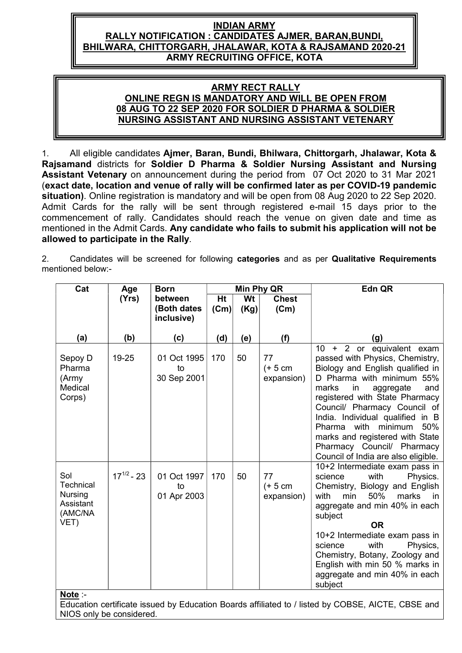# INDIAN ARMY RALLY NOTIFICATION : CANDIDATES AJMER, BARAN,BUNDI, BHILWARA, CHITTORGARH, JHALAWAR, KOTA & RAJSAMAND 2020-21 ARMY RECRUITING OFFICE, KOTA

# ARMY RECT RALLY ONLINE REGN IS MANDATORY AND WILL BE OPEN FROM 08 AUG TO 22 SEP 2020 FOR SOLDIER D PHARMA & SOLDIER NURSING ASSISTANT AND NURSING ASSISTANT VETENARY

1. All eligible candidates Ajmer, Baran, Bundi, Bhilwara, Chittorgarh, Jhalawar, Kota & Rajsamand districts for Soldier D Pharma & Soldier Nursing Assistant and Nursing Assistant Vetenary on announcement during the period from 07 Oct 2020 to 31 Mar 2021 (exact date, location and venue of rally will be confirmed later as per COVID-19 pandemic situation). Online registration is mandatory and will be open from 08 Aug 2020 to 22 Sep 2020. Admit Cards for the rally will be sent through registered e-mail 15 days prior to the commencement of rally. Candidates should reach the venue on given date and time as mentioned in the Admit Cards. Any candidate who fails to submit his application will not be allowed to participate in the Rally.

2. Candidates will be screened for following categories and as per Qualitative Requirements mentioned below:-

| Cat                                                                           | Age             | <b>Born</b>                      |      |      | Min Phy QR                     | Edn QR                                                                                                                                                                                                                                                                                                                                                                                                                         |
|-------------------------------------------------------------------------------|-----------------|----------------------------------|------|------|--------------------------------|--------------------------------------------------------------------------------------------------------------------------------------------------------------------------------------------------------------------------------------------------------------------------------------------------------------------------------------------------------------------------------------------------------------------------------|
|                                                                               | (Yrs)           | between                          | Ht   | Wt   | <b>Chest</b>                   |                                                                                                                                                                                                                                                                                                                                                                                                                                |
|                                                                               |                 | (Both dates<br>inclusive)        | (Cm) | (Kg) | (Cm)                           |                                                                                                                                                                                                                                                                                                                                                                                                                                |
| (a)                                                                           | (b)             | (c)                              | (d)  | (e)  | (f)                            | (g)                                                                                                                                                                                                                                                                                                                                                                                                                            |
| Sepoy D<br>Pharma<br>(Army<br>Medical<br>Corps)                               | 19-25           | 01 Oct 1995<br>to<br>30 Sep 2001 | 170  | 50   | 77<br>$(+ 5 cm)$<br>expansion) | $10-10$<br>$+2$ or<br>equivalent exam<br>passed with Physics, Chemistry,<br>Biology and English qualified in<br>D Pharma with minimum 55%<br>marks<br>and<br>in<br>aggregate<br>registered with State Pharmacy<br>Council/ Pharmacy Council of<br>India. Individual qualified in B<br>Pharma<br>with<br>minimum<br>50%<br>marks and registered with State<br>Pharmacy Council/ Pharmacy<br>Council of India are also eligible. |
| Sol<br>Technical<br><b>Nursing</b><br>Assistant<br>(AMC/NA<br>VET)<br>Note :- | $17^{1/2} - 23$ | 01 Oct 1997<br>to<br>01 Apr 2003 | 170  | 50   | 77<br>$(+ 5 cm)$<br>expansion) | 10+2 Intermediate exam pass in<br>with<br>Physics.<br>science<br>Chemistry, Biology and English<br>with<br>50%<br>marks<br>min<br>in in<br>aggregate and min 40% in each<br>subject<br><b>OR</b><br>10+2 Intermediate exam pass in<br>science<br>with<br>Physics,<br>Chemistry, Botany, Zoology and<br>English with min 50 % marks in<br>aggregate and min 40% in each<br>subject                                              |

Education certificate issued by Education Boards affiliated to / listed by COBSE, AICTE, CBSE and NIOS only be considered.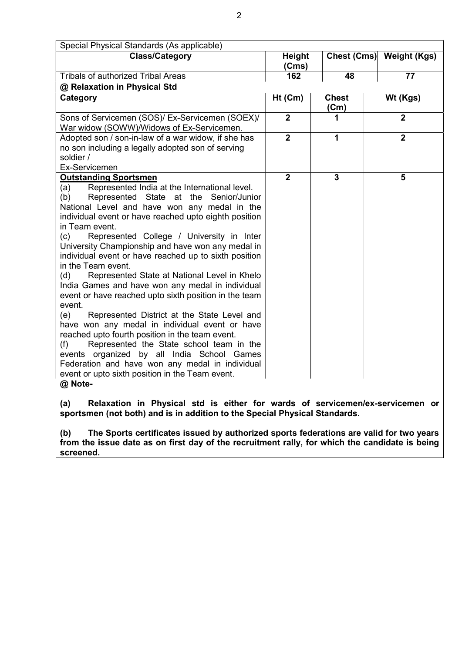| Special Physical Standards (As applicable)                                                                                                                                                                                                                                                                                                                                                                                                                                                                                                                                                                                                                                                                                                                                                                                                                                                                                                                                                                                           |                 |                         |                          |
|--------------------------------------------------------------------------------------------------------------------------------------------------------------------------------------------------------------------------------------------------------------------------------------------------------------------------------------------------------------------------------------------------------------------------------------------------------------------------------------------------------------------------------------------------------------------------------------------------------------------------------------------------------------------------------------------------------------------------------------------------------------------------------------------------------------------------------------------------------------------------------------------------------------------------------------------------------------------------------------------------------------------------------------|-----------------|-------------------------|--------------------------|
| <b>Class/Category</b>                                                                                                                                                                                                                                                                                                                                                                                                                                                                                                                                                                                                                                                                                                                                                                                                                                                                                                                                                                                                                | Height<br>(Cms) |                         | Chest (Cms) Weight (Kgs) |
| <b>Tribals of authorized Tribal Areas</b>                                                                                                                                                                                                                                                                                                                                                                                                                                                                                                                                                                                                                                                                                                                                                                                                                                                                                                                                                                                            | 162             | 48                      | 77                       |
| @ Relaxation in Physical Std                                                                                                                                                                                                                                                                                                                                                                                                                                                                                                                                                                                                                                                                                                                                                                                                                                                                                                                                                                                                         |                 |                         |                          |
| Category                                                                                                                                                                                                                                                                                                                                                                                                                                                                                                                                                                                                                                                                                                                                                                                                                                                                                                                                                                                                                             | Ht (Cm)         | <b>Chest</b><br>(Cm)    | Wt (Kgs)                 |
| Sons of Servicemen (SOS)/ Ex-Servicemen (SOEX)/<br>War widow (SOWW)/Widows of Ex-Servicemen.                                                                                                                                                                                                                                                                                                                                                                                                                                                                                                                                                                                                                                                                                                                                                                                                                                                                                                                                         | $\overline{2}$  | 1                       | $\overline{2}$           |
| Adopted son / son-in-law of a war widow, if she has<br>no son including a legally adopted son of serving<br>soldier /                                                                                                                                                                                                                                                                                                                                                                                                                                                                                                                                                                                                                                                                                                                                                                                                                                                                                                                | $\overline{2}$  | 1                       | $\overline{2}$           |
| Ex-Servicemen<br><b>Outstanding Sportsmen</b><br>Represented India at the International level.<br>(a)<br>Represented State at the Senior/Junior<br>(b)<br>National Level and have won any medal in the<br>individual event or have reached upto eighth position<br>in Team event.<br>(c)<br>Represented College / University in Inter<br>University Championship and have won any medal in<br>individual event or have reached up to sixth position<br>in the Team event.<br>Represented State at National Level in Khelo<br>(d)<br>India Games and have won any medal in individual<br>event or have reached upto sixth position in the team<br>event.<br>(e)<br>Represented District at the State Level and<br>have won any medal in individual event or have<br>reached upto fourth position in the team event.<br>Represented the State school team in the<br>(f)<br>events organized by all India School Games<br>Federation and have won any medal in individual<br>event or upto sixth position in the Team event.<br>@ Note- | $\overline{2}$  | $\overline{\mathbf{3}}$ | 5                        |
| Relaxation in Physical std is either for wards of servicemen/ex-servicemen or<br>(a)<br>sportsmen (not both) and is in addition to the Special Physical Standards.                                                                                                                                                                                                                                                                                                                                                                                                                                                                                                                                                                                                                                                                                                                                                                                                                                                                   |                 |                         |                          |

(b) The Sports certificates issued by authorized sports federations are valid for two years from the issue date as on first day of the recruitment rally, for which the candidate is being screened.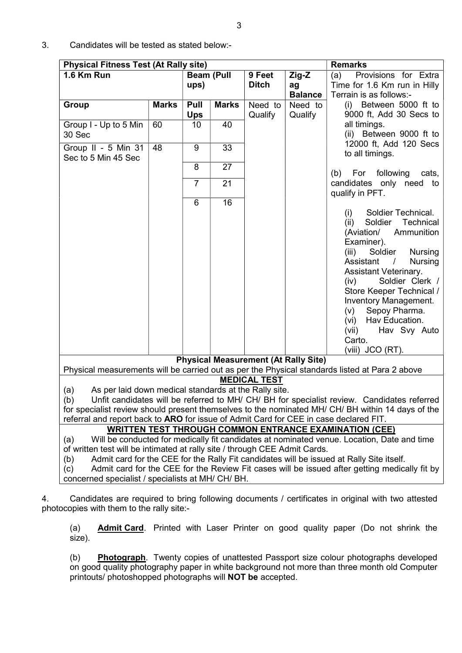| <b>Physical Fitness Test (At Rally site)</b>                                                                                                                                                                                                            |              |                   |              |                     |                | <b>Remarks</b>                                                                                    |  |
|---------------------------------------------------------------------------------------------------------------------------------------------------------------------------------------------------------------------------------------------------------|--------------|-------------------|--------------|---------------------|----------------|---------------------------------------------------------------------------------------------------|--|
| 1.6 Km Run                                                                                                                                                                                                                                              |              | <b>Beam (Pull</b> |              | 9 Feet              | Zig-Z          | (a)<br>Provisions for Extra                                                                       |  |
|                                                                                                                                                                                                                                                         |              | ups)              |              | <b>Ditch</b>        | ag             | Time for 1.6 Km run in Hilly                                                                      |  |
|                                                                                                                                                                                                                                                         |              |                   |              |                     | <b>Balance</b> | Terrain is as follows:-                                                                           |  |
| <b>Group</b>                                                                                                                                                                                                                                            | <b>Marks</b> | Pull              | <b>Marks</b> | Need to             | Need to        | (i) Between 5000 ft to                                                                            |  |
|                                                                                                                                                                                                                                                         | 60           | <b>Ups</b><br>10  | 40           | Qualify             | Qualify        | 9000 ft, Add 30 Secs to<br>all timings.                                                           |  |
| Group I - Up to 5 Min<br>30 Sec                                                                                                                                                                                                                         |              |                   |              |                     |                | (ii) Between 9000 ft to                                                                           |  |
|                                                                                                                                                                                                                                                         |              |                   |              |                     |                | 12000 ft, Add 120 Secs                                                                            |  |
| Group II - 5 Min 31                                                                                                                                                                                                                                     | 48           | 9                 | 33           |                     |                | to all timings.                                                                                   |  |
| Sec to 5 Min 45 Sec                                                                                                                                                                                                                                     |              |                   |              |                     |                |                                                                                                   |  |
|                                                                                                                                                                                                                                                         |              | 8                 | 27           |                     |                | For following<br>(b)<br>cats,                                                                     |  |
|                                                                                                                                                                                                                                                         |              | $\overline{7}$    | 21           |                     |                | candidates only need to                                                                           |  |
|                                                                                                                                                                                                                                                         |              |                   |              |                     |                | qualify in PFT.                                                                                   |  |
|                                                                                                                                                                                                                                                         |              | 6                 | 16           |                     |                |                                                                                                   |  |
|                                                                                                                                                                                                                                                         |              |                   |              |                     |                | Soldier Technical.<br>(i)                                                                         |  |
|                                                                                                                                                                                                                                                         |              |                   |              |                     |                | Soldier<br>Technical<br>(ii)                                                                      |  |
|                                                                                                                                                                                                                                                         |              |                   |              |                     |                | (Aviation/<br>Ammunition                                                                          |  |
|                                                                                                                                                                                                                                                         |              |                   |              |                     |                | Examiner).                                                                                        |  |
|                                                                                                                                                                                                                                                         |              |                   |              |                     |                | (iii)<br>Soldier<br><b>Nursing</b>                                                                |  |
|                                                                                                                                                                                                                                                         |              |                   |              |                     |                | Assistant<br>$\frac{1}{2}$<br><b>Nursing</b>                                                      |  |
|                                                                                                                                                                                                                                                         |              |                   |              |                     |                | Assistant Veterinary.                                                                             |  |
|                                                                                                                                                                                                                                                         |              |                   |              |                     |                | Soldier Clerk /<br>(iv)                                                                           |  |
|                                                                                                                                                                                                                                                         |              |                   |              |                     |                | Store Keeper Technical /                                                                          |  |
|                                                                                                                                                                                                                                                         |              |                   |              |                     |                | Inventory Management.                                                                             |  |
|                                                                                                                                                                                                                                                         |              |                   |              |                     |                | Sepoy Pharma.<br>(v)                                                                              |  |
|                                                                                                                                                                                                                                                         |              |                   |              |                     |                | (vi) Hav Education.                                                                               |  |
|                                                                                                                                                                                                                                                         |              |                   |              |                     |                | (vii)<br>Hav Svy Auto                                                                             |  |
|                                                                                                                                                                                                                                                         |              |                   |              |                     |                | Carto.                                                                                            |  |
|                                                                                                                                                                                                                                                         |              |                   |              |                     |                | (viii) JCO (RT).                                                                                  |  |
| <b>Physical Measurement (At Rally Site)</b><br>Physical measurements will be carried out as per the Physical standards listed at Para 2 above                                                                                                           |              |                   |              |                     |                |                                                                                                   |  |
|                                                                                                                                                                                                                                                         |              |                   |              | <b>MEDICAL TEST</b> |                |                                                                                                   |  |
| As per laid down medical standards at the Rally site.<br>(a)                                                                                                                                                                                            |              |                   |              |                     |                |                                                                                                   |  |
| (b)                                                                                                                                                                                                                                                     |              |                   |              |                     |                | Unfit candidates will be referred to MH/ CH/ BH for specialist review. Candidates referred        |  |
|                                                                                                                                                                                                                                                         |              |                   |              |                     |                | for specialist review should present themselves to the nominated MH/ CH/ BH within 14 days of the |  |
| referral and report back to ARO for issue of Admit Card for CEE in case declared FIT.                                                                                                                                                                   |              |                   |              |                     |                |                                                                                                   |  |
|                                                                                                                                                                                                                                                         |              |                   |              |                     |                | <b>WRITTEN TEST THROUGH COMMON ENTRANCE EXAMINATION (CEE)</b>                                     |  |
| (a)                                                                                                                                                                                                                                                     |              |                   |              |                     |                | Will be conducted for medically fit candidates at nominated venue. Location, Date and time        |  |
| of written test will be intimated at rally site / through CEE Admit Cards.                                                                                                                                                                              |              |                   |              |                     |                |                                                                                                   |  |
| (b)                                                                                                                                                                                                                                                     |              |                   |              |                     |                | Admit card for the CEE for the Rally Fit candidates will be issued at Rally Site itself.          |  |
| (c)                                                                                                                                                                                                                                                     |              |                   |              |                     |                |                                                                                                   |  |
|                                                                                                                                                                                                                                                         |              |                   |              |                     |                |                                                                                                   |  |
| Admit card for the CEE for the Review Fit cases will be issued after getting medically fit by<br>concerned specialist / specialists at MH/ CH/ BH.<br>Candidates are required to bring following documents / certificates in original with two attested |              |                   |              |                     |                |                                                                                                   |  |
|                                                                                                                                                                                                                                                         |              |                   |              |                     |                |                                                                                                   |  |
|                                                                                                                                                                                                                                                         |              |                   |              |                     |                |                                                                                                   |  |
| photocopies with them to the rally site:-<br>(a)                                                                                                                                                                                                        |              |                   |              |                     |                | Admit Card. Printed with Laser Printer on good quality paper (Do not shrink the                   |  |

## 3. Candidates will be tested as stated below:-

(b) Photograph. Twenty copies of unattested Passport size colour photographs developed on good quality photography paper in white background not more than three month old Computer printouts/ photoshopped photographs will **NOT be** accepted.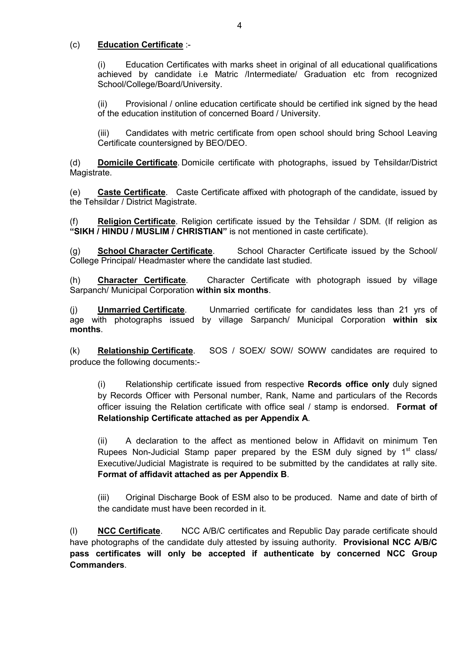## (c) Education Certificate :-

(i) Education Certificates with marks sheet in original of all educational qualifications achieved by candidate i.e Matric /Intermediate/ Graduation etc from recognized School/College/Board/University.

(ii) Provisional / online education certificate should be certified ink signed by the head of the education institution of concerned Board / University.

(iii) Candidates with metric certificate from open school should bring School Leaving Certificate countersigned by BEO/DEO.

(d) Domicile Certificate. Domicile certificate with photographs, issued by Tehsildar/District Magistrate.

(e) Caste Certificate. Caste Certificate affixed with photograph of the candidate, issued by the Tehsildar / District Magistrate.

Religion Certificate. Religion certificate issued by the Tehsildar / SDM. (If religion as "SIKH / HINDU / MUSLIM / CHRISTIAN" is not mentioned in caste certificate).

(g) School Character Certificate. School Character Certificate issued by the School/ College Principal/ Headmaster where the candidate last studied.

(h) Character Certificate. Character Certificate with photograph issued by village Sarpanch/ Municipal Corporation within six months.

 (j) Unmarried Certificate. Unmarried certificate for candidates less than 21 yrs of age with photographs issued by village Sarpanch/ Municipal Corporation within six months.

(k) Relationship Certificate. SOS / SOEX/ SOW/ SOWW candidates are required to produce the following documents:-

(i) Relationship certificate issued from respective Records office only duly signed by Records Officer with Personal number, Rank, Name and particulars of the Records officer issuing the Relation certificate with office seal / stamp is endorsed. Format of Relationship Certificate attached as per Appendix A.

(ii) A declaration to the affect as mentioned below in Affidavit on minimum Ten Rupees Non-Judicial Stamp paper prepared by the ESM duly signed by  $1<sup>st</sup>$  class/ Executive/Judicial Magistrate is required to be submitted by the candidates at rally site. Format of affidavit attached as per Appendix B.

(iii) Original Discharge Book of ESM also to be produced. Name and date of birth of the candidate must have been recorded in it.

(l) NCC Certificate. NCC A/B/C certificates and Republic Day parade certificate should have photographs of the candidate duly attested by issuing authority. Provisional NCC A/B/C pass certificates will only be accepted if authenticate by concerned NCC Group Commanders.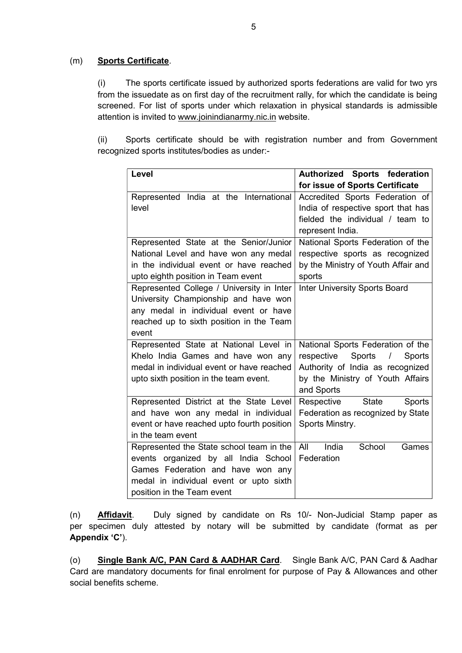## (m) Sports Certificate.

(i) The sports certificate issued by authorized sports federations are valid for two yrs from the issuedate as on first day of the recruitment rally, for which the candidate is being screened. For list of sports under which relaxation in physical standards is admissible attention is invited to www.joinindianarmy.nic.in website.

(ii) Sports certificate should be with registration number and from Government recognized sports institutes/bodies as under:-

| Level                                      | <b>Authorized Sports federation</b>          |  |  |
|--------------------------------------------|----------------------------------------------|--|--|
|                                            | for issue of Sports Certificate              |  |  |
| Represented India at the International     | Accredited Sports Federation of              |  |  |
| level                                      | India of respective sport that has           |  |  |
|                                            | fielded the individual / team to             |  |  |
|                                            | represent India.                             |  |  |
| Represented State at the Senior/Junior     | National Sports Federation of the            |  |  |
| National Level and have won any medal      | respective sports as recognized              |  |  |
| in the individual event or have reached    | by the Ministry of Youth Affair and          |  |  |
| upto eighth position in Team event         | sports                                       |  |  |
| Represented College / University in Inter  | <b>Inter University Sports Board</b>         |  |  |
| University Championship and have won       |                                              |  |  |
| any medal in individual event or have      |                                              |  |  |
| reached up to sixth position in the Team   |                                              |  |  |
| event                                      |                                              |  |  |
| Represented State at National Level in     | National Sports Federation of the            |  |  |
| Khelo India Games and have won any         | respective<br>Sports<br>Sports<br>$\sqrt{2}$ |  |  |
| medal in individual event or have reached  | Authority of India as recognized             |  |  |
| upto sixth position in the team event.     | by the Ministry of Youth Affairs             |  |  |
|                                            | and Sports                                   |  |  |
| Represented District at the State Level    | Respective<br><b>State</b><br><b>Sports</b>  |  |  |
| and have won any medal in individual       | Federation as recognized by State            |  |  |
| event or have reached upto fourth position | Sports Minstry.                              |  |  |
| in the team event                          |                                              |  |  |
| Represented the State school team in the   | All<br>India<br>School<br>Games              |  |  |
| events organized by all India School       | Federation                                   |  |  |
| Games Federation and have won any          |                                              |  |  |
| medal in individual event or upto sixth    |                                              |  |  |
| position in the Team event                 |                                              |  |  |

 (n) Affidavit. Duly signed by candidate on Rs 10/- Non-Judicial Stamp paper as per specimen duly attested by notary will be submitted by candidate (format as per Appendix 'C').

(o) Single Bank A/C, PAN Card & AADHAR Card. Single Bank A/C, PAN Card & Aadhar Card are mandatory documents for final enrolment for purpose of Pay & Allowances and other social benefits scheme.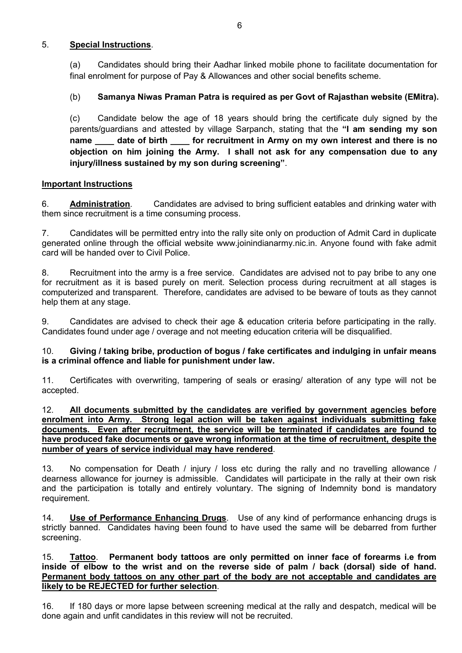## 5. Special Instructions.

(a) Candidates should bring their Aadhar linked mobile phone to facilitate documentation for final enrolment for purpose of Pay & Allowances and other social benefits scheme.

# (b) Samanya Niwas Praman Patra is required as per Govt of Rajasthan website (EMitra).

(c) Candidate below the age of 18 years should bring the certificate duly signed by the parents/guardians and attested by village Sarpanch, stating that the "I am sending my son name date of birth for recruitment in Army on my own interest and there is no objection on him joining the Army. I shall not ask for any compensation due to any injury/illness sustained by my son during screening".

## Important Instructions

6. Administration. Candidates are advised to bring sufficient eatables and drinking water with them since recruitment is a time consuming process.

7. Candidates will be permitted entry into the rally site only on production of Admit Card in duplicate generated online through the official website www.joinindianarmy.nic.in. Anyone found with fake admit card will be handed over to Civil Police.

8. Recruitment into the army is a free service. Candidates are advised not to pay bribe to any one for recruitment as it is based purely on merit. Selection process during recruitment at all stages is computerized and transparent. Therefore, candidates are advised to be beware of touts as they cannot help them at any stage.

9. Candidates are advised to check their age & education criteria before participating in the rally. Candidates found under age / overage and not meeting education criteria will be disqualified.

## 10. Giving / taking bribe, production of bogus / fake certificates and indulging in unfair means is a criminal offence and liable for punishment under law.

11. Certificates with overwriting, tampering of seals or erasing/ alteration of any type will not be accepted.

#### 12. All documents submitted by the candidates are verified by government agencies before enrolment into Army. Strong legal action will be taken against individuals submitting fake documents. Even after recruitment, the service will be terminated if candidates are found to have produced fake documents or gave wrong information at the time of recruitment, despite the number of years of service individual may have rendered.

13. No compensation for Death / injury / loss etc during the rally and no travelling allowance / dearness allowance for journey is admissible. Candidates will participate in the rally at their own risk and the participation is totally and entirely voluntary. The signing of Indemnity bond is mandatory requirement.

14. **Use of Performance Enhancing Drugs**. Use of any kind of performance enhancing drugs is strictly banned. Candidates having been found to have used the same will be debarred from further screening.

## 15. Tattoo. Permanent body tattoos are only permitted on inner face of forearms i.e from inside of elbow to the wrist and on the reverse side of palm / back (dorsal) side of hand. Permanent body tattoos on any other part of the body are not acceptable and candidates are likely to be REJECTED for further selection.

16. If 180 days or more lapse between screening medical at the rally and despatch, medical will be done again and unfit candidates in this review will not be recruited.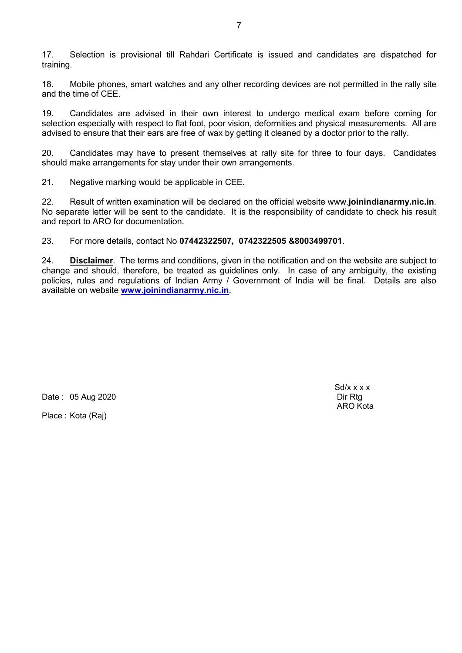17. Selection is provisional till Rahdari Certificate is issued and candidates are dispatched for training.

18. Mobile phones, smart watches and any other recording devices are not permitted in the rally site and the time of CEE.

19. Candidates are advised in their own interest to undergo medical exam before coming for selection especially with respect to flat foot, poor vision, deformities and physical measurements. All are advised to ensure that their ears are free of wax by getting it cleaned by a doctor prior to the rally.

20. Candidates may have to present themselves at rally site for three to four days. Candidates should make arrangements for stay under their own arrangements.

21. Negative marking would be applicable in CEE.

22. Result of written examination will be declared on the official website www.joinindianarmy.nic.in. No separate letter will be sent to the candidate. It is the responsibility of candidate to check his result and report to ARO for documentation.

23. For more details, contact No 07442322507, 0742322505 &8003499701.

24. **Disclaimer.** The terms and conditions, given in the notification and on the website are subject to change and should, therefore, be treated as guidelines only. In case of any ambiguity, the existing policies, rules and regulations of Indian Army / Government of India will be final. Details are also available on website www.joinindianarmy.nic.in.

Date : 05 Aug 2020

Place : Kota (Raj)

 $Sd/x \times x \times x$ ARO Kota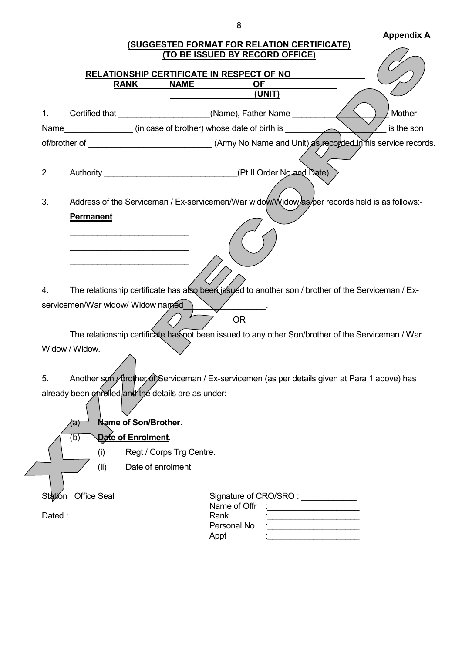# Annendix A

|        |                                                      |                          | (SUGGESTED FORMAT FOR RELATION CERTIFICATE)<br>(TO BE ISSUED BY RECORD OFFICE)                     | Appelluin A |
|--------|------------------------------------------------------|--------------------------|----------------------------------------------------------------------------------------------------|-------------|
|        |                                                      |                          | RELATIONSHIP CERTIFICATE IN RESPECT OF NO                                                          |             |
|        | <b>RANK</b>                                          | <b>NAME</b>              | <b>OF</b>                                                                                          |             |
|        |                                                      |                          | (UNIT)                                                                                             |             |
| 1.     |                                                      |                          | Certified that _____________________(Name), Father Name _________                                  | Mother      |
|        |                                                      |                          | Name__________________(in case of brother) whose date of birth is _________                        | is the son  |
|        |                                                      |                          |                                                                                                    |             |
|        |                                                      |                          |                                                                                                    |             |
| 2.     |                                                      |                          |                                                                                                    |             |
|        |                                                      |                          |                                                                                                    |             |
| 3.     |                                                      |                          | Address of the Serviceman / Ex-servicemen/War widow/Vidow/as/per records held is as follows:-      |             |
|        | <b>Permanent</b>                                     |                          |                                                                                                    |             |
|        |                                                      |                          |                                                                                                    |             |
|        |                                                      |                          |                                                                                                    |             |
|        |                                                      |                          |                                                                                                    |             |
|        |                                                      |                          |                                                                                                    |             |
| 4.     |                                                      |                          | The relationship certificate has also been issued to another son / brother of the Serviceman / Ex- |             |
|        | servicemen/War widow/ Widow named                    |                          | <b>Contract Contract State</b>                                                                     |             |
|        |                                                      |                          | <b>OR</b>                                                                                          |             |
|        |                                                      |                          | The relationship certificate has not been issued to any other Son/brother of the Serviceman / War  |             |
|        | Widow / Widow.                                       |                          |                                                                                                    |             |
|        |                                                      |                          |                                                                                                    |             |
| 5.     |                                                      |                          | Another son / prother of Serviceman / Ex-servicemen (as per details given at Para 1 above) has     |             |
|        | already been enrolled and the details are as under:- |                          |                                                                                                    |             |
|        |                                                      |                          |                                                                                                    |             |
|        | (a)                                                  | Name of Son/Brother.     |                                                                                                    |             |
|        | Date of Enrolment.<br>(b)                            |                          |                                                                                                    |             |
|        | (i)                                                  | Regt / Corps Trg Centre. |                                                                                                    |             |
|        | (ii)                                                 | Date of enrolment        |                                                                                                    |             |
|        |                                                      |                          |                                                                                                    |             |
|        | Station : Office Seal                                |                          |                                                                                                    |             |
|        |                                                      |                          | Name of Offr                                                                                       |             |
| Dated: |                                                      |                          | Rank<br>Personal No                                                                                |             |
|        |                                                      |                          | Appt                                                                                               |             |
|        |                                                      |                          |                                                                                                    |             |

8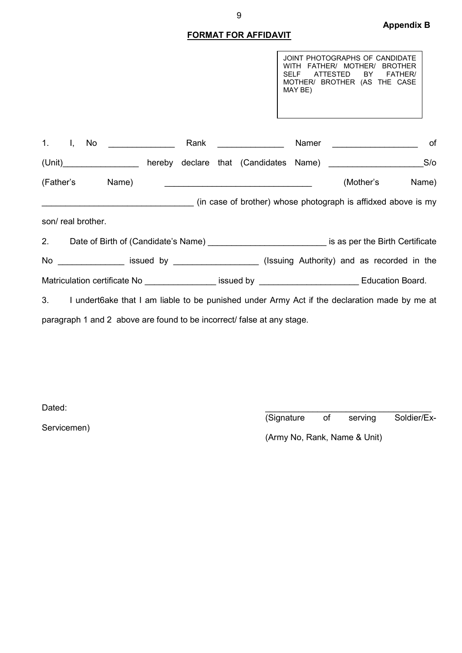# FORMAT FOR AFFIDAVIT

JOINT PHOTOGRAPHS OF CANDIDATE WITH FATHER/ MOTHER/ BROTHER SELF ATTESTED BY FATHER/ MOTHER/ BROTHER (AS THE CASE MAY BE)

| $1.$ $1,$                                                                                              |                   | No |                 |  | Rank |  |  | Namer |                                                                                                                                                                                                                                          | of    |
|--------------------------------------------------------------------------------------------------------|-------------------|----|-----------------|--|------|--|--|-------|------------------------------------------------------------------------------------------------------------------------------------------------------------------------------------------------------------------------------------------|-------|
|                                                                                                        |                   |    | $(Un$ it)       |  |      |  |  |       |                                                                                                                                                                                                                                          |       |
|                                                                                                        |                   |    | (Father's Name) |  |      |  |  |       | (Mother's                                                                                                                                                                                                                                | Name) |
|                                                                                                        |                   |    |                 |  |      |  |  |       | (in case of brother) whose photograph is affidxed above is my                                                                                                                                                                            |       |
|                                                                                                        | son/real brother. |    |                 |  |      |  |  |       |                                                                                                                                                                                                                                          |       |
| 2. Date of Birth of (Candidate's Name) _______________________________ is as per the Birth Certificate |                   |    |                 |  |      |  |  |       |                                                                                                                                                                                                                                          |       |
|                                                                                                        |                   |    |                 |  |      |  |  |       |                                                                                                                                                                                                                                          |       |
|                                                                                                        |                   |    |                 |  |      |  |  |       | No _________________ issued by _____________________(Issuing Authority) and as recorded in the                                                                                                                                           |       |
|                                                                                                        |                   |    |                 |  |      |  |  |       | Matriculation certificate No <b>Education Board.</b> Issued by <b>Education Board.</b> And The Second Lines are seen to the Second Second Second Second Second Second Second Second Second Second Second Second Second Second Second Sec |       |
|                                                                                                        |                   |    |                 |  |      |  |  |       | 3. I undert6ake that I am liable to be punished under Army Act if the declaration made by me at                                                                                                                                          |       |

Dated:  $\blacksquare$ 

Servicemen)

(Signature of serving Soldier/Ex-

(Army No, Rank, Name & Unit)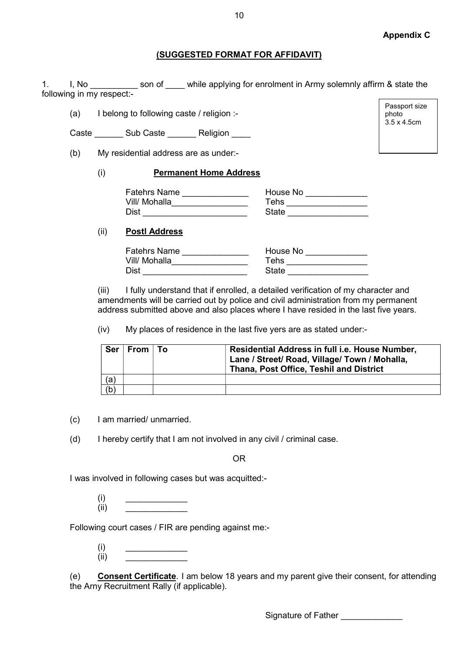Passport size photo 3.5 x 4.5cm

## (SUGGESTED FORMAT FOR AFFIDAVIT)

1. I, No Imprope and Son of Lattingtheory while applying for enrolment in Army solemnly affirm & state the following in my respect:-

(a) I belong to following caste / religion :-

Caste \_\_\_\_\_\_ Sub Caste \_\_\_\_\_\_\_ Religion

(b) My residential address are as under:-

## (i) Permanent Home Address

| <b>Fatehrs Name</b> | House No |
|---------------------|----------|
| Vill/ Mohalla       | Tehs     |
| Dist                | State    |

## (ii) Postl Address

| <b>Fatehrs Name</b> | House No |
|---------------------|----------|
| Vill/ Mohalla       | ⊤ehs     |
| Dist                | State    |

(iii) I fully understand that if enrolled, a detailed verification of my character and amendments will be carried out by police and civil administration from my permanent address submitted above and also places where I have resided in the last five years.

(iv) My places of residence in the last five yers are as stated under:-

| <b>Ser</b> | From $\vert$ To | Residential Address in full i.e. House Number,<br>Lane / Street/ Road, Village/ Town / Mohalla,<br>Thana, Post Office, Teshil and District |
|------------|-----------------|--------------------------------------------------------------------------------------------------------------------------------------------|
| (a)        |                 |                                                                                                                                            |
| (b)        |                 |                                                                                                                                            |

(c) I am married/ unmarried.

(d) I hereby certify that I am not involved in any civil / criminal case.

OR

I was involved in following cases but was acquitted:-

 $(i)$   $\qquad \qquad$  $(ii)$   $\qquad \qquad \qquad$ 

Following court cases / FIR are pending against me:-

 $(i)$   $\qquad \qquad$  $(ii)$   $\qquad \qquad \qquad$ 

(e) Consent Certificate. I am below 18 years and my parent give their consent, for attending the Arny Recruitment Rally (if applicable).

Signature of Father